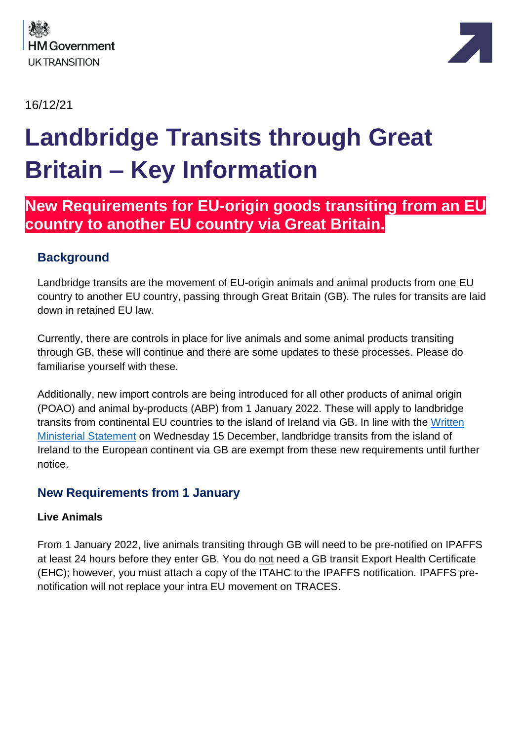

16/12/21



# **Landbridge Transits through Great Britain – Key Information**

# **New Requirements for EU-origin goods transiting from an EU country to another EU country via Great Britain.**

# **Background**

Landbridge transits are the movement of EU-origin animals and animal products from one EU country to another EU country, passing through Great Britain (GB). The rules for transits are laid down in retained EU law.

Currently, there are controls in place for live animals and some animal products transiting through GB, these will continue and there are some updates to these processes. Please do familiarise yourself with these.

Additionally, new import controls are being introduced for all other products of animal origin (POAO) and animal by-products (ABP) from 1 January 2022. These will apply to landbridge transits from continental EU countries to the island of Ireland via GB. In line with the [Written](https://questions-statements.parliament.uk/written-statements/detail/2021-12-15/hcws486)  [Ministerial Statement](https://questions-statements.parliament.uk/written-statements/detail/2021-12-15/hcws486) on Wednesday 15 December, landbridge transits from the island of Ireland to the European continent via GB are exempt from these new requirements until further notice.

# **New Requirements from 1 January**

## **Live Animals**

From 1 January 2022, live animals transiting through GB will need to be pre-notified on IPAFFS at least 24 hours before they enter GB. You do not need a GB transit Export Health Certificate (EHC); however, you must attach a copy of the ITAHC to the IPAFFS notification. IPAFFS prenotification will not replace your intra EU movement on TRACES.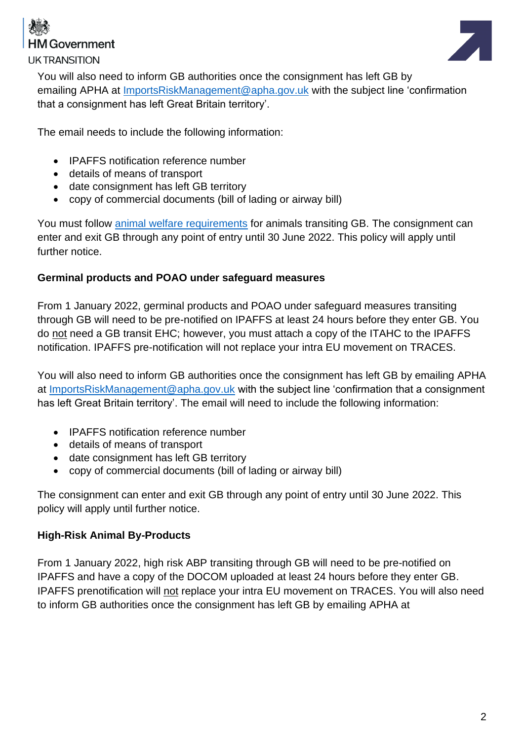

**UKTRANSITION** 



You will also need to inform GB authorities once the consignment has left GB by emailing APHA at [ImportsRiskManagement@apha.gov.uk](mailto:ImportsRiskManagement@apha.gov.uk) with the subject line 'confirmation that a consignment has left Great Britain territory'.

The email needs to include the following information:

- IPAFFS notification reference number
- details of means of transport
- date consignment has left GB territory
- copy of commercial documents (bill of lading or airway bill)

You must follow [animal welfare requirements](https://www.gov.uk/guidance/animal-welfare) for animals transiting GB. The consignment can enter and exit GB through any point of entry until 30 June 2022. This policy will apply until further notice.

#### **Germinal products and POAO under safeguard measures**

From 1 January 2022, germinal products and POAO under safeguard measures transiting through GB will need to be pre-notified on IPAFFS at least 24 hours before they enter GB. You do not need a GB transit EHC; however, you must attach a copy of the ITAHC to the IPAFFS notification. IPAFFS pre-notification will not replace your intra EU movement on TRACES.

You will also need to inform GB authorities once the consignment has left GB by emailing APHA at [ImportsRiskManagement@apha.gov.uk](mailto:ImportsRiskManagement@apha.gov.uk) with the subject line 'confirmation that a consignment has left Great Britain territory'. The email will need to include the following information:

- IPAFFS notification reference number
- details of means of transport
- date consignment has left GB territory
- copy of commercial documents (bill of lading or airway bill)

The consignment can enter and exit GB through any point of entry until 30 June 2022. This policy will apply until further notice.

#### **High-Risk Animal By-Products**

From 1 January 2022, high risk ABP transiting through GB will need to be pre-notified on IPAFFS and have a copy of the DOCOM uploaded at least 24 hours before they enter GB. IPAFFS prenotification will not replace your intra EU movement on TRACES. You will also need to inform GB authorities once the consignment has left GB by emailing APHA at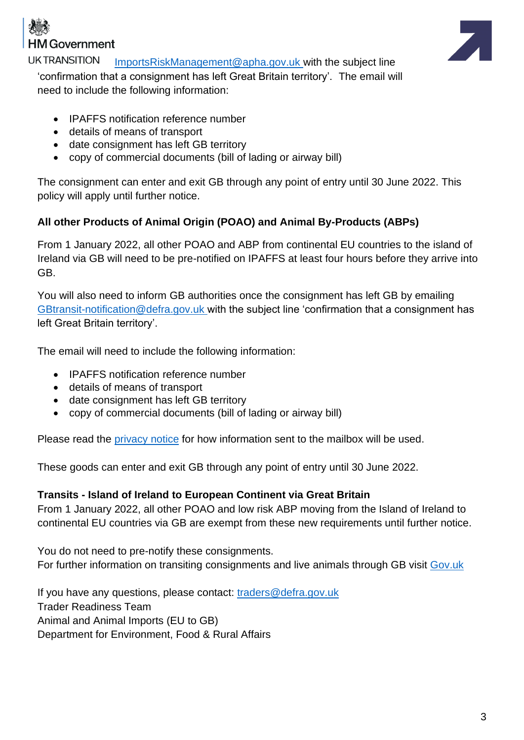



**UKTRANSITION** [ImportsRiskManagement@apha.gov.uk](mailto:ImportsRiskManagement@apha.gov.uk) with the subject line 'confirmation that a consignment has left Great Britain territory'. The email will need to include the following information:

- IPAFFS notification reference number
- details of means of transport
- date consignment has left GB territory
- copy of commercial documents (bill of lading or airway bill)

The consignment can enter and exit GB through any point of entry until 30 June 2022. This policy will apply until further notice.

## **All other Products of Animal Origin (POAO) and Animal By-Products (ABPs)**

From 1 January 2022, all other POAO and ABP from continental EU countries to the island of Ireland via GB will need to be pre-notified on IPAFFS at least four hours before they arrive into GB.

You will also need to inform GB authorities once the consignment has left GB by emailing [GBtransit-notification@defra.gov.uk](mailto:GBtransit-notification@defra.gov.uk) with the subject line 'confirmation that a consignment has left Great Britain territory'.

The email will need to include the following information:

- IPAFFS notification reference number
- details of means of transport
- date consignment has left GB territory
- copy of commercial documents (bill of lading or airway bill)

Please read the [privacy notice](https://www.dropbox.com/scl/fi/nkg4nltxghurtqp9oncp3/Importing-Live-Animals-and-Animal-Products-from-the-European-Union-into-Great-Britain-microsite..paper?dl=0&rlkey=xe77te92f6adbnez96b4h26s8#:uid=653295586280391426373811&h2=Privacy-Notice-for-landbridge-) for how information sent to the mailbox will be used.

These goods can enter and exit GB through any point of entry until 30 June 2022.

## **Transits - Island of Ireland to European Continent via Great Britain**

From 1 January 2022, all other POAO and low risk ABP moving from the Island of Ireland to continental EU countries via GB are exempt from these new requirements until further notice.

You do not need to pre-notify these consignments. For further information on transiting consignments and live animals through GB visit [Gov.uk](https://www.gov.uk/guidance/transiting-animals-and-animal-products-through-great-britain) 

If you have any questions, please contact: [traders@defra.gov.uk](mailto:traders@defra.gov.uk) Trader Readiness Team Animal and Animal Imports (EU to GB) Department for Environment, Food & Rural Affairs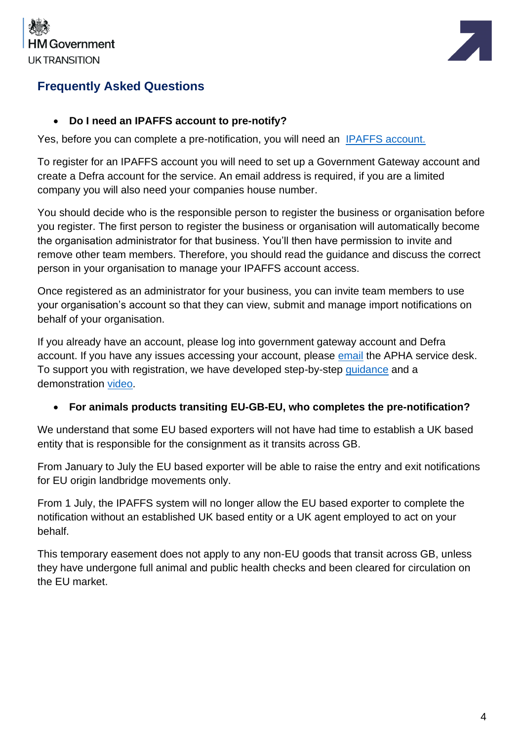



# **Frequently Asked Questions**

#### • **Do I need an IPAFFS account to pre-notify?**

Yes, before you can complete a pre-notification, you will need an [IPAFFS account.](https://www.gov.uk/guidance/import-of-products-animals-food-and-feed-system) 

To register for an IPAFFS account you will need to set up a Government Gateway account and create a Defra account for the service. An email address is required, if you are a limited company you will also need your companies house number.

You should decide who is the responsible person to register the business or organisation before you register. The first person to register the business or organisation will automatically become the organisation administrator for that business. You'll then have permission to invite and remove other team members. Therefore, you should read the guidance and discuss the correct person in your organisation to manage your IPAFFS account access.

Once registered as an administrator for your business, you can invite team members to use your organisation's account so that they can view, submit and manage import notifications on behalf of your organisation.

If you already have an account, please log into government gateway account and Defra account. If you have any issues accessing your account, please [email](mailto:aphaservicedesk@apha.gov.uk) the APHA service desk. To support you with registration, we have developed step-by-step [guidance](https://assets.publishing.service.gov.uk/government/uploads/system/uploads/attachment_data/file/928032/register_a_business_or_organisation_for_the_IPAFFS_service.odt) and a demonstration [video.](https://www.youtube.com/watch?v=9ftkdi7VjS8)

#### • **For animals products transiting EU-GB-EU, who completes the pre-notification?**

We understand that some EU based exporters will not have had time to establish a UK based entity that is responsible for the consignment as it transits across GB.

From January to July the EU based exporter will be able to raise the entry and exit notifications for EU origin landbridge movements only.

From 1 July, the IPAFFS system will no longer allow the EU based exporter to complete the notification without an established UK based entity or a UK agent employed to act on your behalf.

This temporary easement does not apply to any non-EU goods that transit across GB, unless they have undergone full animal and public health checks and been cleared for circulation on the EU market.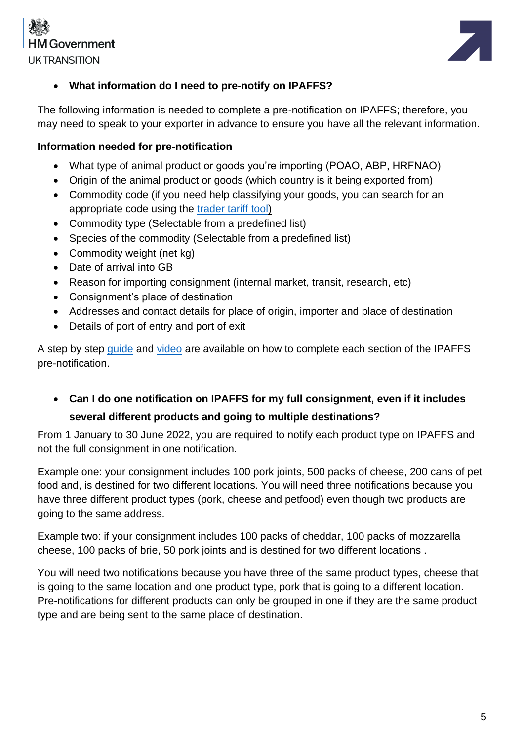



### • **What information do I need to pre-notify on IPAFFS?**

The following information is needed to complete a pre-notification on IPAFFS; therefore, you may need to speak to your exporter in advance to ensure you have all the relevant information.

#### **Information needed for pre-notification**

- What type of animal product or goods you're importing (POAO, ABP, HRFNAO)
- Origin of the animal product or goods (which country is it being exported from)
- Commodity code (if you need help classifying your goods, you can search for an appropriate code using the [trader tariff tool\)](https://www.trade-tariff.service.gov.uk/find_commodity)
- Commodity type (Selectable from a predefined list)
- Species of the commodity (Selectable from a predefined list)
- Commodity weight (net kg)
- Date of arrival into GB
- Reason for importing consignment (internal market, transit, research, etc)
- Consignment's place of destination
- Addresses and contact details for place of origin, importer and place of destination
- Details of port of entry and port of exit

A step by step [guide](https://www.dropbox.com/s/bi5wxugmiw9drpy/IPAFFS%20guidance%20for%20traders%20on%20how%20to%20complete%20pre-notification%20fields_%20v%201.0.pdf?dl=0) and [video](https://www.youtube.com/watch?app=desktop&v=_eTz70uw3XE) are available on how to complete each section of the IPAFFS pre-notification.

• **Can I do one notification on IPAFFS for my full consignment, even if it includes several different products and going to multiple destinations?** 

From 1 January to 30 June 2022, you are required to notify each product type on IPAFFS and not the full consignment in one notification.

Example one: your consignment includes 100 pork joints, 500 packs of cheese, 200 cans of pet food and, is destined for two different locations. You will need three notifications because you have three different product types (pork, cheese and petfood) even though two products are going to the same address.

Example two: if your consignment includes 100 packs of cheddar, 100 packs of mozzarella cheese, 100 packs of brie, 50 pork joints and is destined for two different locations .

You will need two notifications because you have three of the same product types, cheese that is going to the same location and one product type, pork that is going to a different location. Pre-notifications for different products can only be grouped in one if they are the same product type and are being sent to the same place of destination.